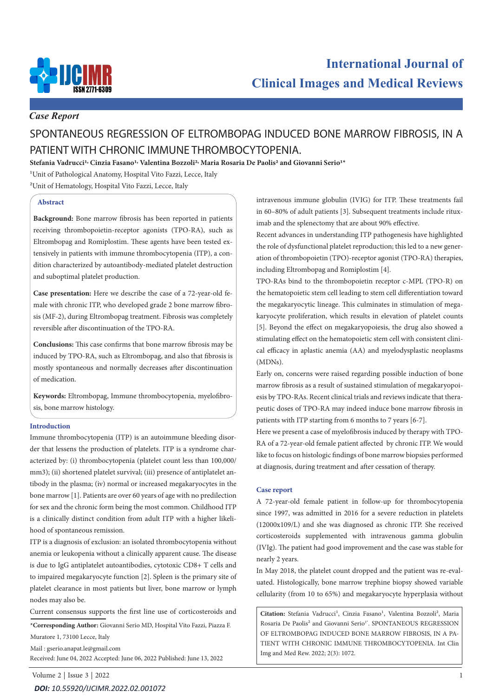

## *Case Report*

# SPONTANEOUS REGRESSION OF ELTROMBOPAG INDUCED BONE MARROW FIBROSIS, IN A PATIENT WITH CHRONIC IMMUNE THROMBOCYTOPENIA.

**Stefania Vadrucci1, Cinzia Fasano1, Valentina Bozzoli2, Maria Rosaria De Paolis2 and Giovanni Serio1\***

1Unit of Pathological Anatomy, Hospital Vito Fazzi, Lecce, Italy

2Unit of Hematology, Hospital Vito Fazzi, Lecce, Italy

#### **Abstract**

**Background:** Bone marrow fibrosis has been reported in patients receiving thrombopoietin-receptor agonists (TPO-RA), such as Eltrombopag and Romiplostim. These agents have been tested extensively in patients with immune thrombocytopenia (ITP), a condition characterized by autoantibody-mediated platelet destruction and suboptimal platelet production.

**Case presentation:** Here we describe the case of a 72-year-old female with chronic ITP, who developed grade 2 bone marrow fibrosis (MF-2), during Eltrombopag treatment. Fibrosis was completely reversible after discontinuation of the TPO-RA.

**Conclusions:** This case confirms that bone marrow fibrosis may be induced by TPO-RA, such as Eltrombopag, and also that fibrosis is mostly spontaneous and normally decreases after discontinuation of medication.

**Keywords:** Eltrombopag, Immune thrombocytopenia, myelofibrosis, bone marrow histology.

#### **Introduction**

Immune thrombocytopenia (ITP) is an autoimmune bleeding disorder that lessens the production of platelets. ITP is a syndrome characterized by: (i) thrombocytopenia (platelet count less than 100,000/ mm3); (ii) shortened platelet survival; (iii) presence of antiplatelet antibody in the plasma; (iv) normal or increased megakaryocytes in the bone marrow [1]. Patients are over 60 years of age with no predilection for sex and the chronic form being the most common. Childhood ITP is a clinically distinct condition from adult ITP with a higher likelihood of spontaneous remission.

ITP is a diagnosis of exclusion: an isolated thrombocytopenia without anemia or leukopenia without a clinically apparent cause. The disease is due to IgG antiplatelet autoantibodies, cytotoxic CD8+ T cells and to impaired megakaryocyte function [2]. Spleen is the primary site of platelet clearance in most patients but liver, bone marrow or lymph nodes may also be.

Current consensus supports the first line use of corticosteroids and

**\*Corresponding Author:** Giovanni Serio MD, Hospital Vito Fazzi, Piazza F. Muratore 1, 73100 Lecce, Italy

Mail : gserio.anapat.le@gmail.com

Received: June 04, 2022 Accepted: June 06, 2022 Published: June 13, 2022

Volume 2 | Issue 3 | 2022 1 *DOI: [10.55920/IJCIMR.2022.02.00107](https://dx.doi.org/10.55920/IJCIMR.2022.02.001072)2*

intravenous immune globulin (IVIG) for ITP. These treatments fail in 60–80% of adult patients [3]. Subsequent treatments include rituximab and the splenectomy that are about 90% effective.

Recent advances in understanding ITP pathogenesis have highlighted the role of dysfunctional platelet reproduction; this led to a new generation of thrombopoietin (TPO)-receptor agonist (TPO-RA) therapies, including Eltrombopag and Romiplostim [4].

TPO-RAs bind to the thrombopoietin receptor c-MPL (TPO-R) on the hematopoietic stem cell leading to stem cell differentiation toward the megakaryocytic lineage. This culminates in stimulation of megakaryocyte proliferation, which results in elevation of platelet counts [5]. Beyond the effect on megakaryopoiesis, the drug also showed a stimulating effect on the hematopoietic stem cell with consistent clinical efficacy in aplastic anemia (AA) and myelodysplastic neoplasms (MDNs).

Early on, concerns were raised regarding possible induction of bone marrow fibrosis as a result of sustained stimulation of megakaryopoiesis by TPO-RAs. Recent clinical trials and reviews indicate that therapeutic doses of TPO-RA may indeed induce bone marrow fibrosis in patients with ITP starting from 6 months to 7 years [6-7].

Here we present a case of myelofibrosis induced by therapy with TPO-RA of a 72-year-old female patient affected by chronic ITP. We would like to focus on histologic findings of bone marrow biopsies performed at diagnosis, during treatment and after cessation of therapy.

#### **Case report**

A 72-year-old female patient in follow-up for thrombocytopenia since 1997, was admitted in 2016 for a severe reduction in platelets (12000x109/L) and she was diagnosed as chronic ITP. She received corticosteroids supplemented with intravenous gamma globulin (IVIg). The patient had good improvement and the case was stable for nearly 2 years.

In May 2018, the platelet count dropped and the patient was re-evaluated. Histologically, bone marrow trephine biopsy showed variable cellularity (from 10 to 65%) and megakaryocyte hyperplasia without

Citation: Stefania Vadrucci<sup>1</sup>, Cinzia Fasano<sup>1</sup>, Valentina Bozzoli<sup>2</sup>, Maria Rosaria De Paolis<sup>2</sup> and Giovanni Serio<sup>1\*</sup>. SPONTANEOUS REGRESSION OF ELTROMBOPAG INDUCED BONE MARROW FIBROSIS, IN A PA-TIENT WITH CHRONIC IMMUNE THROMBOCYTOPENIA. Int Clin Img and Med Rew. 2022; 2(3): 1072.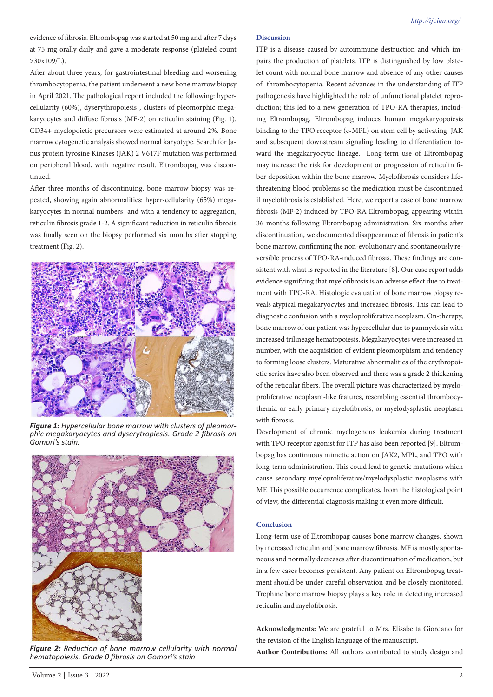evidence of fibrosis. Eltrombopag was started at 50 mg and after 7 days at 75 mg orally daily and gave a moderate response (plateled count  $>30x109/L$ .

After about three years, for gastrointestinal bleeding and worsening thrombocytopenia, the patient underwent a new bone marrow biopsy in April 2021. The pathological report included the following: hypercellularity (60%), dyserythropoiesis , clusters of pleomorphic megakaryocytes and diffuse fibrosis (MF-2) on reticulin staining (Fig. 1). CD34+ myelopoietic precursors were estimated at around 2%. Bone marrow cytogenetic analysis showed normal karyotype. Search for Janus protein tyrosine Kinases (JAK) 2 V617F mutation was performed on peripheral blood, with negative result. Eltrombopag was discontinued.

After three months of discontinuing, bone marrow biopsy was repeated, showing again abnormalities: hyper-cellularity (65%) megakaryocytes in normal numbers and with a tendency to aggregation, reticulin fibrosis grade 1-2. A significant reduction in reticulin fibrosis was finally seen on the biopsy performed six months after stopping treatment (Fig. 2).



*Figure 1: Hypercellular bone marrow with clusters of pleomor- phic megakaryocytes and dyserytropiesis. Grade 2 fibrosis on Gomori's stain.*



*Figure 2: Reduction of bone marrow cellularity with normal hematopoiesis. Grade 0 fibrosis on Gomori's stain*

ITP is a disease caused by autoimmune destruction and which impairs the production of platelets. ITP is distinguished by low platelet count with normal bone marrow and absence of any other causes of thrombocytopenia. Recent advances in the understanding of ITP pathogenesis have highlighted the role of unfunctional platelet reproduction; this led to a new generation of TPO-RA therapies, including Eltrombopag. Eltrombopag induces human megakaryopoiesis binding to the TPO receptor (c-MPL) on stem cell by activating JAK and subsequent downstream signaling leading to differentiation toward the megakaryocytic lineage. Long-term use of Eltrombopag may increase the risk for development or progression of reticulin fiber deposition within the bone marrow. Myelofibrosis considers lifethreatening blood problems so the medication must be discontinued if myelofibrosis is established. Here, we report a case of bone marrow fibrosis (MF-2) induced by TPO-RA Eltrombopag, appearing within 36 months following Eltrombopag administration. Six months after discontinuation, we documented disappearance of fibrosis in patient's bone marrow, confirming the non-evolutionary and spontaneously reversible process of TPO-RA-induced fibrosis. These findings are consistent with what is reported in the literature [8]. Our case report adds evidence signifying that myelofibrosis is an adverse effect due to treatment with TPO-RA. Histologic evaluation of bone marrow biopsy reveals atypical megakaryocytes and increased fibrosis. This can lead to diagnostic confusion with a myeloproliferative neoplasm. On-therapy, bone marrow of our patient was hypercellular due to panmyelosis with increased trilineage hematopoiesis. Megakaryocytes were increased in number, with the acquisition of evident pleomorphism and tendency to forming loose clusters. Maturative abnormalities of the erythropoietic series have also been observed and there was a grade 2 thickening of the reticular fibers. The overall picture was characterized by myeloproliferative neoplasm-like features, resembling essential thrombocythemia or early primary myelofibrosis, or myelodysplastic neoplasm with fibrosis.

Development of chronic myelogenous leukemia during treatment with TPO receptor agonist for ITP has also been reported [9]. Eltrombopag has continuous mimetic action on JAK2, MPL, and TPO with long-term administration. This could lead to genetic mutations which cause secondary myeloproliferative/myelodysplastic neoplasms with MF. This possible occurrence complicates, from the histological point of view, the differential diagnosis making it even more difficult.

#### **Conclusion**

Long-term use of Eltrombopag causes bone marrow changes, shown by increased reticulin and bone marrow fibrosis. MF is mostly spontaneous and normally decreases after discontinuation of medication, but in a few cases becomes persistent. Any patient on Eltrombopag treatment should be under careful observation and be closely monitored. Trephine bone marrow biopsy plays a key role in detecting increased reticulin and myelofibrosis.

**Acknowledgments:** We are grateful to Mrs. Elisabetta Giordano for the revision of the English language of the manuscript.

**Author Contributions:** All authors contributed to study design and